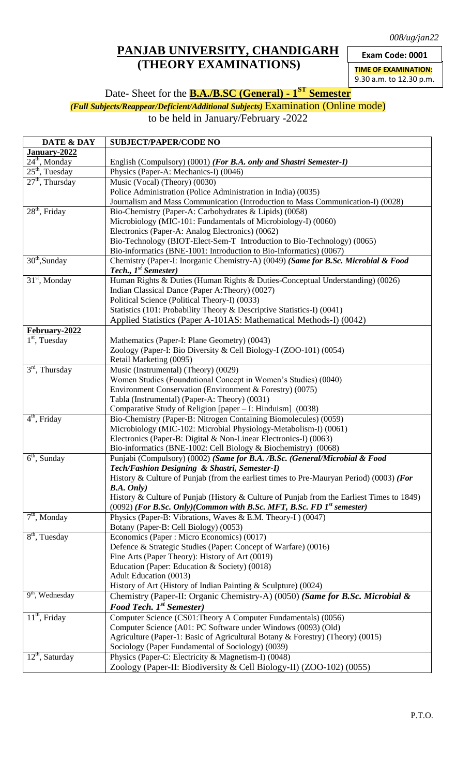*008/ug/jan22*

## **PANJAB UNIVERSITY, CHANDIGARH (THEORY EXAMINATIONS)**

**Exam Code: 0001**

**TIME OF EXAMINATION:**

9.30 a.m. to 12.30 p.m.

Date- Sheet for the **B.A./B.SC (General) - 1 ST Semester**

*(Full Subjects/Reappear/Deficient/Additional Subjects)* Examination (Online mode)

to be held in January/February -2022

| DATE & DAY                             | <b>SUBJECT/PAPER/CODE NO</b>                                                              |
|----------------------------------------|-------------------------------------------------------------------------------------------|
| January-2022                           |                                                                                           |
| $24th$ , Monday                        | English (Compulsory) (0001) (For B.A. only and Shastri Semester-I)                        |
| $25th$ , Tuesday                       | Physics (Paper-A: Mechanics-I) (0046)                                                     |
| $27th$ , Thursday                      | Music (Vocal) (Theory) (0030)                                                             |
|                                        | Police Administration (Police Administration in India) (0035)                             |
|                                        | Journalism and Mass Communication (Introduction to Mass Communication-I) (0028)           |
| $28th$ , Friday                        | Bio-Chemistry (Paper-A: Carbohydrates & Lipids) (0058)                                    |
|                                        | Microbiology (MIC-101: Fundamentals of Microbiology-I) (0060)                             |
|                                        | Electronics (Paper-A: Analog Electronics) (0062)                                          |
|                                        | Bio-Technology (BIOT-Elect-Sem-T Introduction to Bio-Technology) (0065)                   |
|                                        | Bio-informatics (BNE-1001: Introduction to Bio-Informatics) (0067)                        |
| $30th$ , Sunday                        | Chemistry (Paper-I: Inorganic Chemistry-A) (0049) (Same for B.Sc. Microbial & Food        |
|                                        | Tech., $Ist$ Semester)                                                                    |
| $31st$ , Monday                        | Human Rights & Duties (Human Rights & Duties-Conceptual Understanding) (0026)             |
|                                        | Indian Classical Dance (Paper A:Theory) (0027)                                            |
|                                        | Political Science (Political Theory-I) (0033)                                             |
|                                        | Statistics (101: Probability Theory & Descriptive Statistics-I) (0041)                    |
|                                        | Applied Statistics (Paper A-101AS: Mathematical Methods-I) (0042)                         |
| February-2022                          |                                                                                           |
| $\overline{1}^{\rm st}$ , Tuesday      | Mathematics (Paper-I: Plane Geometry) (0043)                                              |
|                                        | Zoology (Paper-I: Bio Diversity & Cell Biology-I (ZOO-101) (0054)                         |
|                                        | Retail Marketing (0095)                                                                   |
| $3rd$ , Thursday                       | Music (Instrumental) (Theory) (0029)                                                      |
|                                        | Women Studies (Foundational Concept in Women's Studies) (0040)                            |
|                                        | Environment Conservation (Environment & Forestry) (0075)                                  |
|                                        | Tabla (Instrumental) (Paper-A: Theory) (0031)                                             |
|                                        | Comparative Study of Religion [paper - I: Hinduism] (0038)                                |
| $4th$ , Friday                         | Bio-Chemistry (Paper-B: Nitrogen Containing Biomolecules) (0059)                          |
|                                        | Microbiology (MIC-102: Microbial Physiology-Metabolism-I) (0061)                          |
|                                        | Electronics (Paper-B: Digital & Non-Linear Electronics-I) (0063)                          |
|                                        | Bio-informatics (BNE-1002: Cell Biology & Biochemistry) (0068)                            |
| $6th$ , Sunday                         | Punjabi (Compulsory) (0002) (Same for B.A. /B.Sc. (General/Microbial & Food               |
|                                        | Tech/Fashion Designing & Shastri, Semester-I)                                             |
|                                        | History & Culture of Punjab (from the earliest times to Pre-Mauryan Period) (0003) (For   |
|                                        | B.A. Only)                                                                                |
|                                        | History & Culture of Punjab (History & Culture of Punjab from the Earliest Times to 1849) |
|                                        | $(0092)$ (For B.Sc. Only)(Common with B.Sc. MFT, B.Sc. FD $1^{st}$ semester)              |
| $\overline{7^{th}}$ , Monday           | Physics (Paper-B: Vibrations, Waves & E.M. Theory-I) (0047)                               |
|                                        | Botany (Paper-B: Cell Biology) (0053)                                                     |
| $\overline{8}^{th}$ , Tuesday          | Economics (Paper: Micro Economics) (0017)                                                 |
|                                        | Defence & Strategic Studies (Paper: Concept of Warfare) (0016)                            |
|                                        | Fine Arts (Paper Theory): History of Art (0019)                                           |
|                                        | Education (Paper: Education & Society) (0018)                                             |
|                                        | <b>Adult Education (0013)</b>                                                             |
| $9th$ , Wednesday                      | History of Art (History of Indian Painting & Sculpture) (0024)                            |
|                                        | Chemistry (Paper-II: Organic Chemistry-A) (0050) (Same for B.Sc. Microbial &              |
|                                        | <b>Food Tech.</b> 1 <sup>st</sup> Semester)                                               |
| $11th$ , Friday                        | Computer Science (CS01:Theory A Computer Fundamentals) (0056)                             |
|                                        | Computer Science (A01: PC Software under Windows (0093) (Old)                             |
|                                        | Agriculture (Paper-1: Basic of Agricultural Botany & Forestry) (Theory) (0015)            |
|                                        | Sociology (Paper Fundamental of Sociology) (0039)                                         |
| $\overline{12}^{\text{th}}$ , Saturday | Physics (Paper-C: Electricity & Magnetism-I) (0048)                                       |
|                                        | Zoology (Paper-II: Biodiversity & Cell Biology-II) (ZOO-102) (0055)                       |